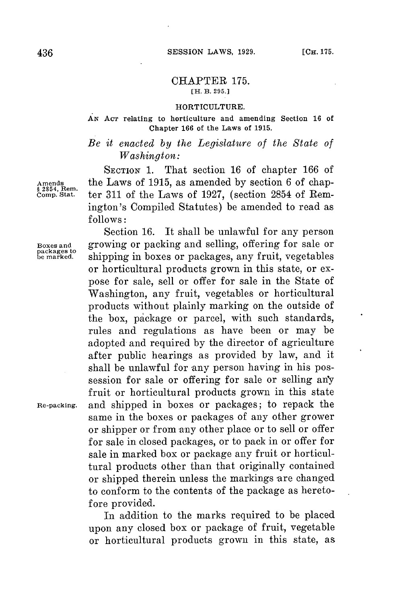### CHAPTER **175. [H. B. 295.]**

### **HORTICULTURE.**

### *AN* **ACT relating to horticulture and amending Section 16 of Chapter 166 of the Laws of 1915.**

# *Be it enacted by the Legislature of the State of Washington:*

**SECTION 1.** That section **16** of chapter **166** of Amends the Laws of 1915, as amended by section 6 of chap-<br> **§** 2854, Rem.<br> **comp. Stat.** ter 311 of the Laws of 1927. (section 2854 of Remter 311 of the Laws of 1927, (section 2854 of Remington's Compiled Statutes) be amended to read as **follows:**

Section **16.** It shall be unlawful **for** any person

packages to<br>be marked.

**Boxes and** growing or packing and selling, offering **for** sale or **be marked.** shipping in boxes or packages, any fruit, vegetables or horticultural products grown in this state, or expose for sale, sell or offer for sale in the State of Washington, any fruit, vegetables or horticultural products without plainly marking on the outside of the box, package or parcel, with such standards, rules and regulations as have been or may be adopted and required **by** the director of agriculture after public hearings as provided **by** law, and it shall be unlawful for any person having in his possession for sale or offering for sale or selling an'y fruit or horticultural products grown in this state **Re-packing.** and shipped in boxes or packages; to repack the same in the boxes or packages of any other grower or shipper or from any other place or to sell or offer **for** sale in closed packages, or to pack in or offer **for** sale in marked box or package any fruit or horticultural products other than that originally contained or shipped therein unless the markings are changed to conform to the contents of the package as heretofore provided.

In addition to the marks required to be placed upon any closed box or package of fruit, vegetable or horticultural products grown in this state, as